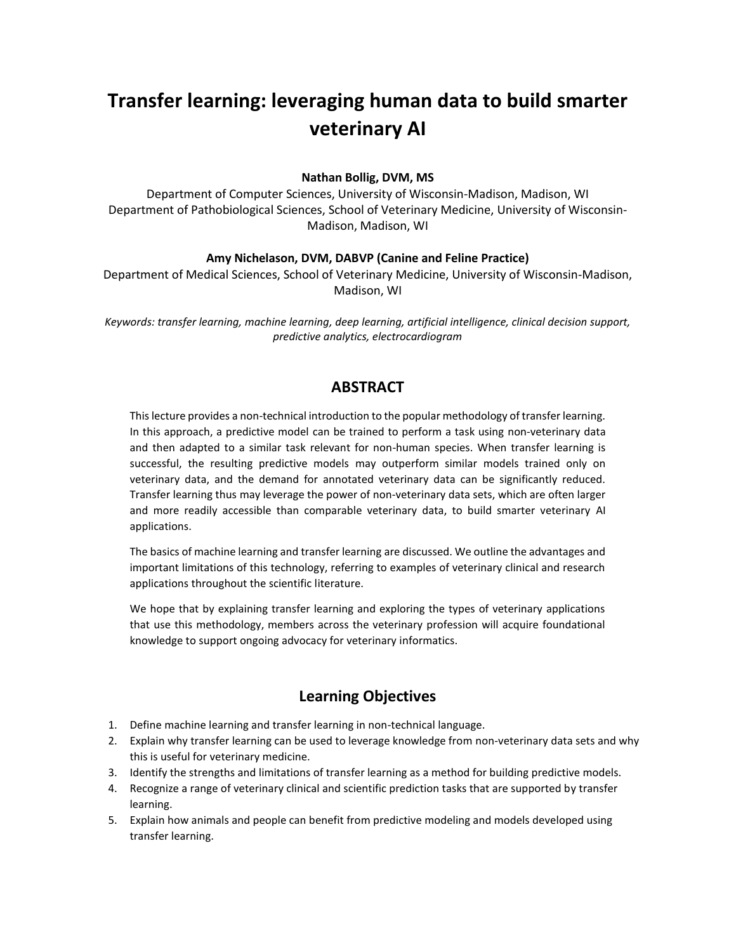# **Transfer learning: leveraging human data to build smarter veterinary AI**

#### **Nathan Bollig, DVM, MS**

Department of Computer Sciences, University of Wisconsin-Madison, Madison, WI Department of Pathobiological Sciences, School of Veterinary Medicine, University of Wisconsin-Madison, Madison, WI

#### **Amy Nichelason, DVM, DABVP (Canine and Feline Practice)**

Department of Medical Sciences, School of Veterinary Medicine, University of Wisconsin-Madison, Madison, WI

*Keywords: transfer learning, machine learning, deep learning, artificial intelligence, clinical decision support, predictive analytics, electrocardiogram*

## **ABSTRACT**

This lecture provides a non-technical introduction to the popular methodology of transfer learning. In this approach, a predictive model can be trained to perform a task using non-veterinary data and then adapted to a similar task relevant for non-human species. When transfer learning is successful, the resulting predictive models may outperform similar models trained only on veterinary data, and the demand for annotated veterinary data can be significantly reduced. Transfer learning thus may leverage the power of non-veterinary data sets, which are often larger and more readily accessible than comparable veterinary data, to build smarter veterinary AI applications.

The basics of machine learning and transfer learning are discussed. We outline the advantages and important limitations of this technology, referring to examples of veterinary clinical and research applications throughout the scientific literature.

We hope that by explaining transfer learning and exploring the types of veterinary applications that use this methodology, members across the veterinary profession will acquire foundational knowledge to support ongoing advocacy for veterinary informatics.

## **Learning Objectives**

- 1. Define machine learning and transfer learning in non-technical language.
- 2. Explain why transfer learning can be used to leverage knowledge from non-veterinary data sets and why this is useful for veterinary medicine.
- 3. Identify the strengths and limitations of transfer learning as a method for building predictive models.
- 4. Recognize a range of veterinary clinical and scientific prediction tasks that are supported by transfer learning.
- 5. Explain how animals and people can benefit from predictive modeling and models developed using transfer learning.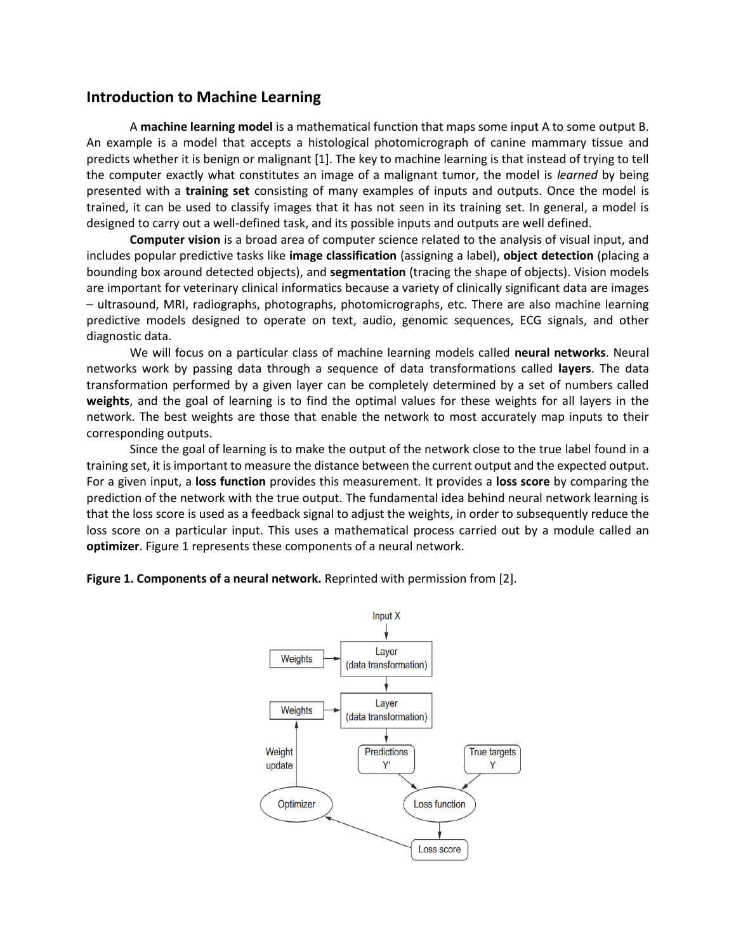## **Introduction to Machine Learning**

A **machine learning model** is a mathematical function that maps some input A to some output B. An example is a model that accepts a histological photomicrograph of canine mammary tissue and predicts whether it is benign or malignant [1]. The key to machine learning is that instead of trying to tell the computer exactly what constitutes an image of a malignant tumor, the model is *learned* by being presented with a **training set** consisting of many examples of inputs and outputs. Once the model is trained, it can be used to classify images that it has not seen in its training set. In general, a model is designed to carry out a well-defined task, and its possible inputs and outputs are well defined.

**Computer vision** is a broad area of computer science related to the analysis of visual input, and includes popular predictive tasks like **image classification** (assigning a label), **object detection** (placing a bounding box around detected objects), and **segmentation** (tracing the shape of objects). Vision models are important for veterinary clinical informatics because a variety of clinically significant data are images – ultrasound, MRI, radiographs, photographs, photomicrographs, etc. There are also machine learning predictive models designed to operate on text, audio, genomic sequences, ECG signals, and other diagnostic data.

We will focus on a particular class of machine learning models called **neural networks**. Neural networks work by passing data through a sequence of data transformations called **layers**. The data transformation performed by a given layer can be completely determined by a set of numbers called **weights**, and the goal of learning is to find the optimal values for these weights for all layers in the network. The best weights are those that enable the network to most accurately map inputs to their corresponding outputs.

Since the goal of learning is to make the output of the network close to the true label found in a training set, it is important to measure the distance between the current output and the expected output. For a given input, a **loss function** provides this measurement. It provides a **loss score** by comparing the prediction of the network with the true output. The fundamental idea behind neural network learning is that the loss score is used as a feedback signal to adjust the weights, in order to subsequently reduce the loss score on a particular input. This uses a mathematical process carried out by a module called an **optimizer**. Figure 1 represents these components of a neural network.

**Figure 1. Components of a neural network.** Reprinted with permission from [2].

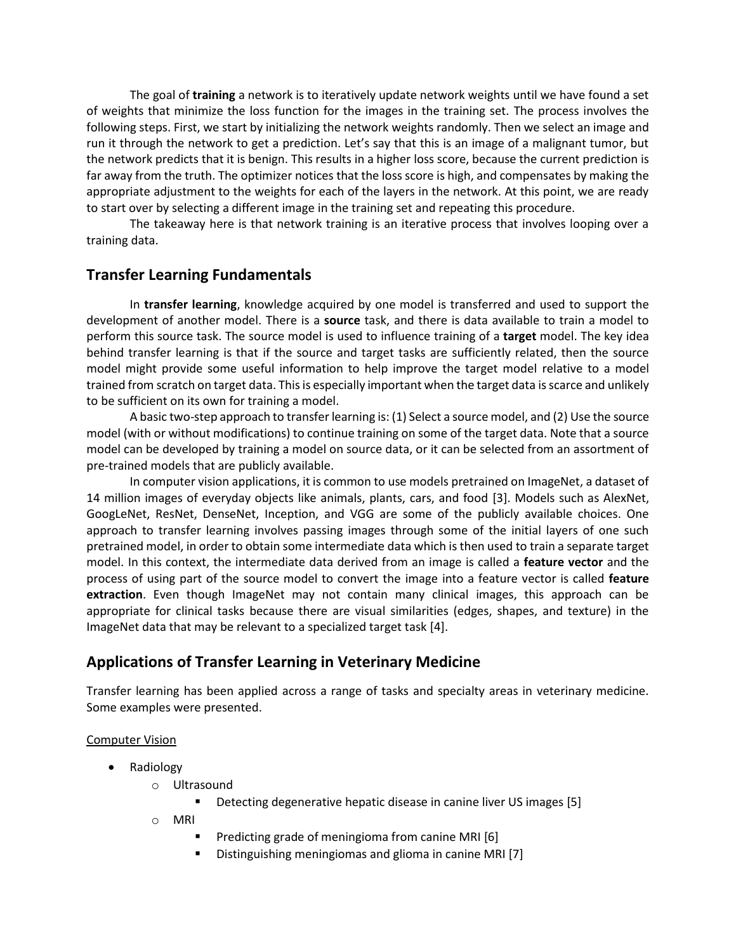The goal of **training** a network is to iteratively update network weights until we have found a set of weights that minimize the loss function for the images in the training set. The process involves the following steps. First, we start by initializing the network weights randomly. Then we select an image and run it through the network to get a prediction. Let's say that this is an image of a malignant tumor, but the network predicts that it is benign. This results in a higher loss score, because the current prediction is far away from the truth. The optimizer notices that the loss score is high, and compensates by making the appropriate adjustment to the weights for each of the layers in the network. At this point, we are ready to start over by selecting a different image in the training set and repeating this procedure.

The takeaway here is that network training is an iterative process that involves looping over a training data.

### **Transfer Learning Fundamentals**

In **transfer learning**, knowledge acquired by one model is transferred and used to support the development of another model. There is a **source** task, and there is data available to train a model to perform this source task. The source model is used to influence training of a **target** model. The key idea behind transfer learning is that if the source and target tasks are sufficiently related, then the source model might provide some useful information to help improve the target model relative to a model trained from scratch on target data. This is especially important when the target data is scarce and unlikely to be sufficient on its own for training a model.

A basic two-step approach to transfer learning is: (1) Select a source model, and (2) Use the source model (with or without modifications) to continue training on some of the target data. Note that a source model can be developed by training a model on source data, or it can be selected from an assortment of pre-trained models that are publicly available.

In computer vision applications, it is common to use models pretrained on ImageNet, a dataset of 14 million images of everyday objects like animals, plants, cars, and food [3]. Models such as AlexNet, GoogLeNet, ResNet, DenseNet, Inception, and VGG are some of the publicly available choices. One approach to transfer learning involves passing images through some of the initial layers of one such pretrained model, in order to obtain some intermediate data which is then used to train a separate target model. In this context, the intermediate data derived from an image is called a **feature vector** and the process of using part of the source model to convert the image into a feature vector is called **feature extraction**. Even though ImageNet may not contain many clinical images, this approach can be appropriate for clinical tasks because there are visual similarities (edges, shapes, and texture) in the ImageNet data that may be relevant to a specialized target task [4].

### **Applications of Transfer Learning in Veterinary Medicine**

Transfer learning has been applied across a range of tasks and specialty areas in veterinary medicine. Some examples were presented.

#### Computer Vision

- Radiology
	- o Ultrasound
		- Detecting degenerative hepatic disease in canine liver US images [5]
	- o MRI
		- Predicting grade of meningioma from canine MRI [6]
		- Distinguishing meningiomas and glioma in canine MRI [7]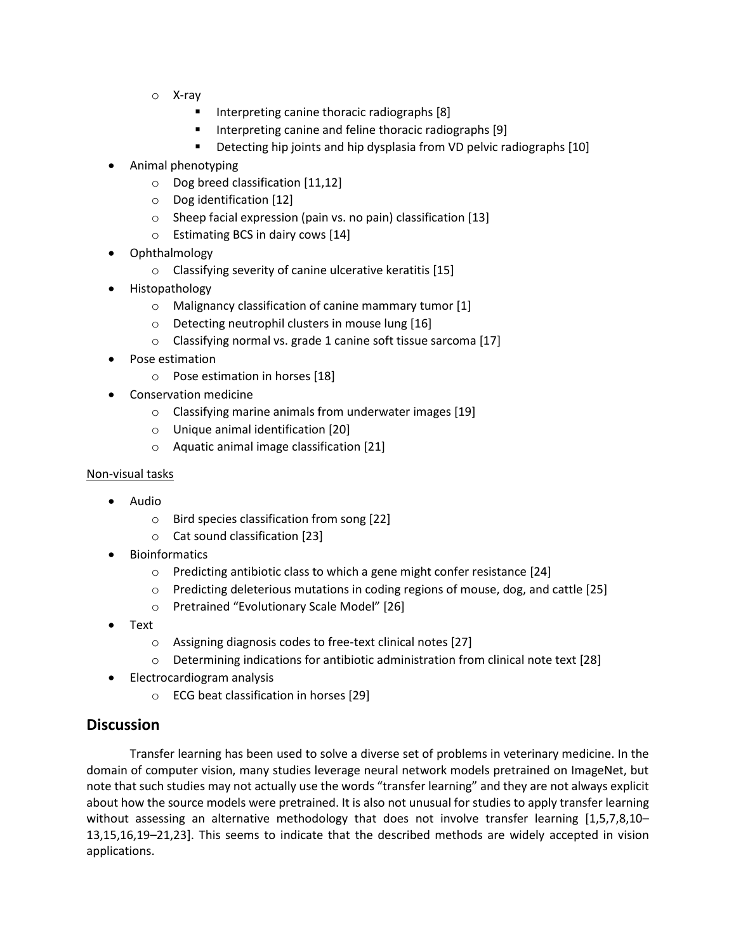- o X-ray
	- Interpreting canine thoracic radiographs [8]
	- Interpreting canine and feline thoracic radiographs [9]
	- Detecting hip joints and hip dysplasia from VD pelvic radiographs [10]
- Animal phenotyping
	- o Dog breed classification [11,12]
	- o Dog identification [12]
	- o Sheep facial expression (pain vs. no pain) classification [13]
	- o Estimating BCS in dairy cows [14]
- Ophthalmology
	- o Classifying severity of canine ulcerative keratitis [15]
- Histopathology
	- o Malignancy classification of canine mammary tumor [1]
	- o Detecting neutrophil clusters in mouse lung [16]
	- o Classifying normal vs. grade 1 canine soft tissue sarcoma [17]
- Pose estimation
	- o Pose estimation in horses [18]
- Conservation medicine
	- o Classifying marine animals from underwater images [19]
	- o Unique animal identification [20]
	- o Aquatic animal image classification [21]

#### Non-visual tasks

- Audio
	- o Bird species classification from song [22]
	- o Cat sound classification [23]
- **Bioinformatics** 
	- o Predicting antibiotic class to which a gene might confer resistance [24]
	- $\circ$  Predicting deleterious mutations in coding regions of mouse, dog, and cattle [25]
	- o Pretrained "Evolutionary Scale Model" [26]
- Text
	- o Assigning diagnosis codes to free-text clinical notes [27]
	- o Determining indications for antibiotic administration from clinical note text [28]
- Electrocardiogram analysis
	- o ECG beat classification in horses [29]

## **Discussion**

Transfer learning has been used to solve a diverse set of problems in veterinary medicine. In the domain of computer vision, many studies leverage neural network models pretrained on ImageNet, but note that such studies may not actually use the words "transfer learning" and they are not always explicit about how the source models were pretrained. It is also not unusual for studies to apply transfer learning without assessing an alternative methodology that does not involve transfer learning [1,5,7,8,10-13,15,16,19–21,23]. This seems to indicate that the described methods are widely accepted in vision applications.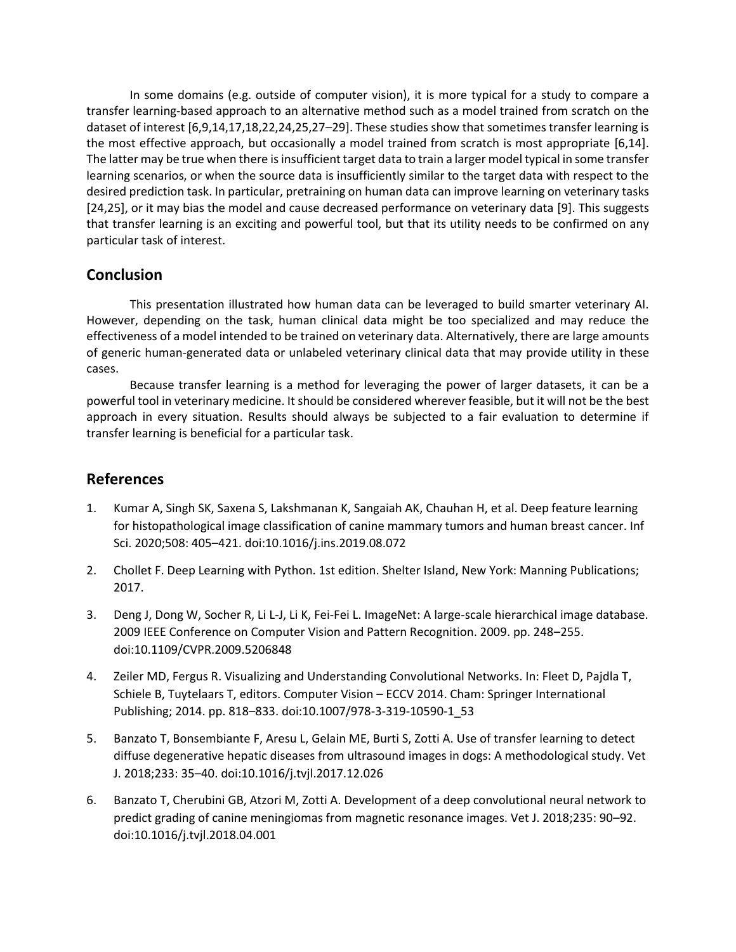In some domains (e.g. outside of computer vision), it is more typical for a study to compare a transfer learning-based approach to an alternative method such as a model trained from scratch on the dataset of interest [6,9,14,17,18,22,24,25,27–29]. These studies show that sometimes transfer learning is the most effective approach, but occasionally a model trained from scratch is most appropriate [6,14]. The latter may be true when there is insufficient target data to train a larger model typical in some transfer learning scenarios, or when the source data is insufficiently similar to the target data with respect to the desired prediction task. In particular, pretraining on human data can improve learning on veterinary tasks [24,25], or it may bias the model and cause decreased performance on veterinary data [9]. This suggests that transfer learning is an exciting and powerful tool, but that its utility needs to be confirmed on any particular task of interest.

## **Conclusion**

This presentation illustrated how human data can be leveraged to build smarter veterinary AI. However, depending on the task, human clinical data might be too specialized and may reduce the effectiveness of a model intended to be trained on veterinary data. Alternatively, there are large amounts of generic human-generated data or unlabeled veterinary clinical data that may provide utility in these cases.

Because transfer learning is a method for leveraging the power of larger datasets, it can be a powerful tool in veterinary medicine. It should be considered wherever feasible, but it will not be the best approach in every situation. Results should always be subjected to a fair evaluation to determine if transfer learning is beneficial for a particular task.

## **References**

- 1. Kumar A, Singh SK, Saxena S, Lakshmanan K, Sangaiah AK, Chauhan H, et al. Deep feature learning for histopathological image classification of canine mammary tumors and human breast cancer. Inf Sci. 2020;508: 405–421. doi:10.1016/j.ins.2019.08.072
- 2. Chollet F. Deep Learning with Python. 1st edition. Shelter Island, New York: Manning Publications; 2017.
- 3. Deng J, Dong W, Socher R, Li L-J, Li K, Fei-Fei L. ImageNet: A large-scale hierarchical image database. 2009 IEEE Conference on Computer Vision and Pattern Recognition. 2009. pp. 248–255. doi:10.1109/CVPR.2009.5206848
- 4. Zeiler MD, Fergus R. Visualizing and Understanding Convolutional Networks. In: Fleet D, Pajdla T, Schiele B, Tuytelaars T, editors. Computer Vision – ECCV 2014. Cham: Springer International Publishing; 2014. pp. 818–833. doi:10.1007/978-3-319-10590-1\_53
- 5. Banzato T, Bonsembiante F, Aresu L, Gelain ME, Burti S, Zotti A. Use of transfer learning to detect diffuse degenerative hepatic diseases from ultrasound images in dogs: A methodological study. Vet J. 2018;233: 35–40. doi:10.1016/j.tvjl.2017.12.026
- 6. Banzato T, Cherubini GB, Atzori M, Zotti A. Development of a deep convolutional neural network to predict grading of canine meningiomas from magnetic resonance images. Vet J. 2018;235: 90–92. doi:10.1016/j.tvjl.2018.04.001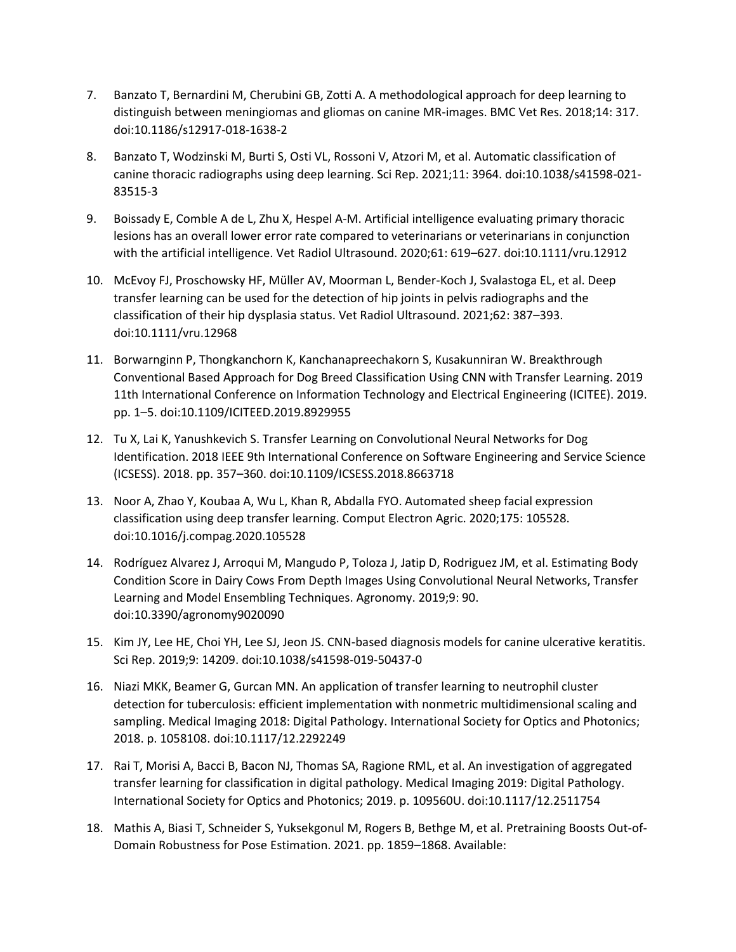- 7. Banzato T, Bernardini M, Cherubini GB, Zotti A. A methodological approach for deep learning to distinguish between meningiomas and gliomas on canine MR-images. BMC Vet Res. 2018;14: 317. doi:10.1186/s12917-018-1638-2
- 8. Banzato T, Wodzinski M, Burti S, Osti VL, Rossoni V, Atzori M, et al. Automatic classification of canine thoracic radiographs using deep learning. Sci Rep. 2021;11: 3964. doi:10.1038/s41598-021- 83515-3
- 9. Boissady E, Comble A de L, Zhu X, Hespel A-M. Artificial intelligence evaluating primary thoracic lesions has an overall lower error rate compared to veterinarians or veterinarians in conjunction with the artificial intelligence. Vet Radiol Ultrasound. 2020;61: 619–627. doi:10.1111/vru.12912
- 10. McEvoy FJ, Proschowsky HF, Müller AV, Moorman L, Bender-Koch J, Svalastoga EL, et al. Deep transfer learning can be used for the detection of hip joints in pelvis radiographs and the classification of their hip dysplasia status. Vet Radiol Ultrasound. 2021;62: 387–393. doi:10.1111/vru.12968
- 11. Borwarnginn P, Thongkanchorn K, Kanchanapreechakorn S, Kusakunniran W. Breakthrough Conventional Based Approach for Dog Breed Classification Using CNN with Transfer Learning. 2019 11th International Conference on Information Technology and Electrical Engineering (ICITEE). 2019. pp. 1–5. doi:10.1109/ICITEED.2019.8929955
- 12. Tu X, Lai K, Yanushkevich S. Transfer Learning on Convolutional Neural Networks for Dog Identification. 2018 IEEE 9th International Conference on Software Engineering and Service Science (ICSESS). 2018. pp. 357–360. doi:10.1109/ICSESS.2018.8663718
- 13. Noor A, Zhao Y, Koubaa A, Wu L, Khan R, Abdalla FYO. Automated sheep facial expression classification using deep transfer learning. Comput Electron Agric. 2020;175: 105528. doi:10.1016/j.compag.2020.105528
- 14. Rodríguez Alvarez J, Arroqui M, Mangudo P, Toloza J, Jatip D, Rodriguez JM, et al. Estimating Body Condition Score in Dairy Cows From Depth Images Using Convolutional Neural Networks, Transfer Learning and Model Ensembling Techniques. Agronomy. 2019;9: 90. doi:10.3390/agronomy9020090
- 15. Kim JY, Lee HE, Choi YH, Lee SJ, Jeon JS. CNN-based diagnosis models for canine ulcerative keratitis. Sci Rep. 2019;9: 14209. doi:10.1038/s41598-019-50437-0
- 16. Niazi MKK, Beamer G, Gurcan MN. An application of transfer learning to neutrophil cluster detection for tuberculosis: efficient implementation with nonmetric multidimensional scaling and sampling. Medical Imaging 2018: Digital Pathology. International Society for Optics and Photonics; 2018. p. 1058108. doi:10.1117/12.2292249
- 17. Rai T, Morisi A, Bacci B, Bacon NJ, Thomas SA, Ragione RML, et al. An investigation of aggregated transfer learning for classification in digital pathology. Medical Imaging 2019: Digital Pathology. International Society for Optics and Photonics; 2019. p. 109560U. doi:10.1117/12.2511754
- 18. Mathis A, Biasi T, Schneider S, Yuksekgonul M, Rogers B, Bethge M, et al. Pretraining Boosts Out-of-Domain Robustness for Pose Estimation. 2021. pp. 1859–1868. Available: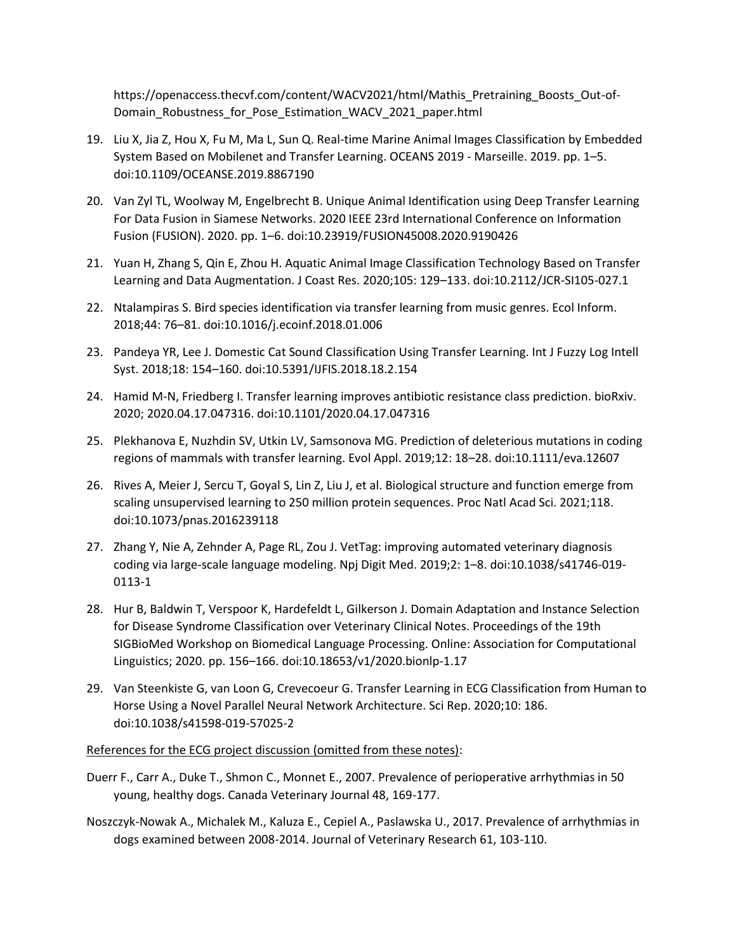https://openaccess.thecvf.com/content/WACV2021/html/Mathis\_Pretraining\_Boosts\_Out-of-Domain\_Robustness\_for\_Pose\_Estimation\_WACV\_2021\_paper.html

- 19. Liu X, Jia Z, Hou X, Fu M, Ma L, Sun Q. Real-time Marine Animal Images Classification by Embedded System Based on Mobilenet and Transfer Learning. OCEANS 2019 - Marseille. 2019. pp. 1–5. doi:10.1109/OCEANSE.2019.8867190
- 20. Van Zyl TL, Woolway M, Engelbrecht B. Unique Animal Identification using Deep Transfer Learning For Data Fusion in Siamese Networks. 2020 IEEE 23rd International Conference on Information Fusion (FUSION). 2020. pp. 1–6. doi:10.23919/FUSION45008.2020.9190426
- 21. Yuan H, Zhang S, Qin E, Zhou H. Aquatic Animal Image Classification Technology Based on Transfer Learning and Data Augmentation. J Coast Res. 2020;105: 129–133. doi:10.2112/JCR-SI105-027.1
- 22. Ntalampiras S. Bird species identification via transfer learning from music genres. Ecol Inform. 2018;44: 76–81. doi:10.1016/j.ecoinf.2018.01.006
- 23. Pandeya YR, Lee J. Domestic Cat Sound Classification Using Transfer Learning. Int J Fuzzy Log Intell Syst. 2018;18: 154–160. doi:10.5391/IJFIS.2018.18.2.154
- 24. Hamid M-N, Friedberg I. Transfer learning improves antibiotic resistance class prediction. bioRxiv. 2020; 2020.04.17.047316. doi:10.1101/2020.04.17.047316
- 25. Plekhanova E, Nuzhdin SV, Utkin LV, Samsonova MG. Prediction of deleterious mutations in coding regions of mammals with transfer learning. Evol Appl. 2019;12: 18–28. doi:10.1111/eva.12607
- 26. Rives A, Meier J, Sercu T, Goyal S, Lin Z, Liu J, et al. Biological structure and function emerge from scaling unsupervised learning to 250 million protein sequences. Proc Natl Acad Sci. 2021;118. doi:10.1073/pnas.2016239118
- 27. Zhang Y, Nie A, Zehnder A, Page RL, Zou J. VetTag: improving automated veterinary diagnosis coding via large-scale language modeling. Npj Digit Med. 2019;2: 1–8. doi:10.1038/s41746-019- 0113-1
- 28. Hur B, Baldwin T, Verspoor K, Hardefeldt L, Gilkerson J. Domain Adaptation and Instance Selection for Disease Syndrome Classification over Veterinary Clinical Notes. Proceedings of the 19th SIGBioMed Workshop on Biomedical Language Processing. Online: Association for Computational Linguistics; 2020. pp. 156–166. doi:10.18653/v1/2020.bionlp-1.17
- 29. Van Steenkiste G, van Loon G, Crevecoeur G. Transfer Learning in ECG Classification from Human to Horse Using a Novel Parallel Neural Network Architecture. Sci Rep. 2020;10: 186. doi:10.1038/s41598-019-57025-2

References for the ECG project discussion (omitted from these notes):

- Duerr F., Carr A., Duke T., Shmon C., Monnet E., 2007. Prevalence of perioperative arrhythmias in 50 young, healthy dogs. Canada Veterinary Journal 48, 169-177.
- Noszczyk-Nowak A., Michalek M., Kaluza E., Cepiel A., Paslawska U., 2017. Prevalence of arrhythmias in dogs examined between 2008-2014. Journal of Veterinary Research 61, 103-110.